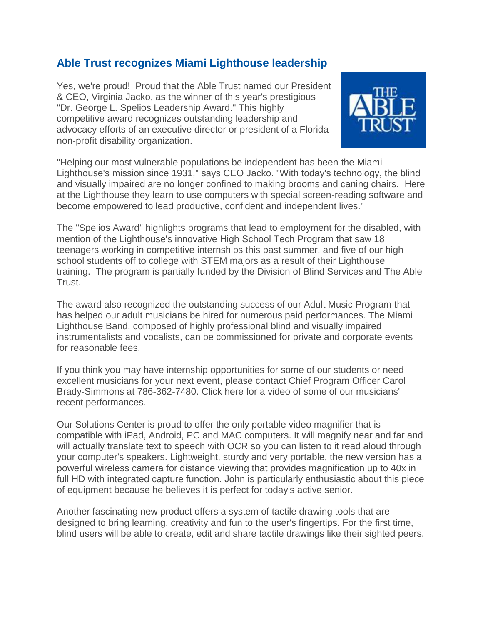## **Able Trust recognizes Miami Lighthouse leadership**

Yes, we're proud! Proud that the Able Trust named our President & CEO, Virginia Jacko, as the winner of this year's prestigious "Dr. George L. Spelios Leadership Award." This highly competitive award recognizes outstanding leadership and advocacy efforts of an executive director or president of a Florida non-profit disability organization.



"Helping our most vulnerable populations be independent has been the Miami Lighthouse's mission since 1931," says CEO Jacko. "With today's technology, the blind and visually impaired are no longer confined to making brooms and caning chairs. Here at the Lighthouse they learn to use computers with special screen-reading software and become empowered to lead productive, confident and independent lives."

The "Spelios Award" highlights programs that lead to employment for the disabled, with mention of the Lighthouse's innovative High School Tech Program that saw 18 teenagers working in competitive internships this past summer, and five of our high school students off to college with STEM majors as a result of their Lighthouse training. The program is partially funded by the Division of Blind Services and The Able Trust.

The award also recognized the outstanding success of our Adult Music Program that has helped our adult musicians be hired for numerous paid performances. The Miami Lighthouse Band, composed of highly professional blind and visually impaired instrumentalists and vocalists, can be commissioned for private and corporate events for reasonable fees.

If you think you may have internship opportunities for some of our students or need excellent musicians for your next event, please contact Chief Program Officer Carol Brady-Simmons at 786-362-7480. Click here for a video of some of our musicians' recent performances.

Our Solutions Center is proud to offer the only portable video magnifier that is compatible with iPad, Android, PC and MAC computers. It will magnify near and far and will actually translate text to speech with OCR so you can listen to it read aloud through your computer's speakers. Lightweight, sturdy and very portable, the new version has a powerful wireless camera for distance viewing that provides magnification up to 40x in full HD with integrated capture function. John is particularly enthusiastic about this piece of equipment because he believes it is perfect for today's active senior.

Another fascinating new product offers a system of tactile drawing tools that are designed to bring learning, creativity and fun to the user's fingertips. For the first time, blind users will be able to create, edit and share tactile drawings like their sighted peers.